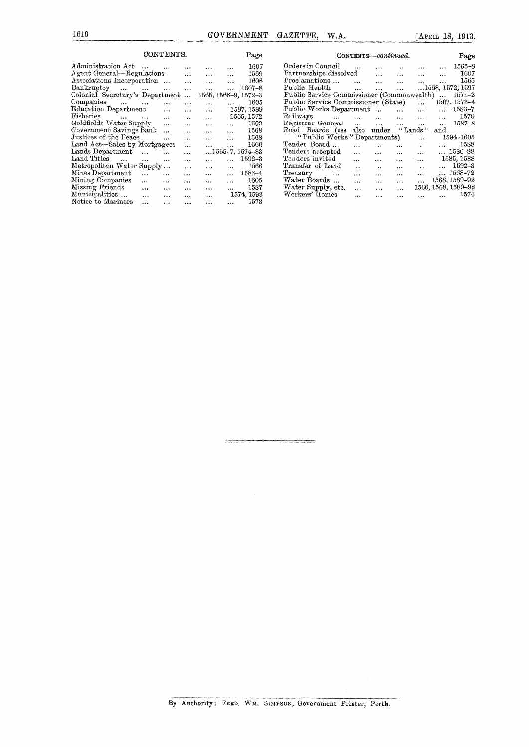1610 GOVERNMENT GAZETTE, W.A. [APRIL 18, 1913.

|                                                        | CONTENTS.       |           |          |                      | Page       | CONTENTS—continued.                                                                                                      | Page       |
|--------------------------------------------------------|-----------------|-----------|----------|----------------------|------------|--------------------------------------------------------------------------------------------------------------------------|------------|
| Administration Act                                     | $\ddotsc$       | $\cdots$  | $\cdots$ | $\cdots$             | 1607       | Orders in Council<br>$\cdots$                                                                                            | $1565 - 8$ |
| Agent General—Regulations                              |                 | $\cdots$  | $\cdots$ | $\cdots$             | 1569       | Partnerships dissolved<br>$\cdots$<br>$\cdots$<br>$\cdots$<br>$\cdots$                                                   | 1607       |
| Associations Incorporation                             |                 | $\cdots$  | $\cdots$ |                      | 1606       | Proclamations<br>$\sim$ $\sim$<br>$\cdots$<br>$\cdots$<br>saa 11<br>$\cdots$                                             | 1565       |
| $Bankruptcy \dots \dots$                               | $\sim 100$      | $\cdots$  | $\cdots$ |                      | 1607–8     | Public Health<br>1568, 1572, 1597<br>$\cdots$<br>$\cdots$<br>$\cdots$                                                    |            |
| Colonial Secretary's Department                        |                 | $\sim 10$ |          | 1565, 1568-9, 1572-3 |            | Public Service Commissioner (Commonwealth)                                                                               | 1571-2     |
| Companies<br>$\cdots$<br>$\cdots$                      | $\ddotsc$       | $\cdots$  | $\cdots$ |                      | 1605       | Public Service Commissioner (State)<br>1567, 1573-4<br>$\cdots$                                                          |            |
| Education Department                                   | $\cdots$        | $\cdots$  | $\cdots$ |                      | 1587, 1589 | Public Works Department<br>$\cdots$<br>$\cdots$<br>$\cdots$                                                              | 1583-7     |
| Fisheries<br>$\mathbf{r}$ and $\mathbf{r}$<br>$\cdots$ | $\ddotsc$       | $\cdots$  | $\cdots$ |                      | 1565, 1572 | Railways<br>$\mathbf{r} = \mathbf{r} \cdot \mathbf{r}$<br>$\cdots$<br><b>Section</b><br>$\cdots$<br>$\cdots$<br>$\cdots$ | 1570       |
| Goldfields Water Supply                                | $\ddotsc$       | $\cdots$  | $\cdots$ | .                    | 1592       | Registrar General<br>$\cdots$<br>$\cdots$<br>$\cdots$<br>$\cdots$<br>$\cdots$                                            | $1587 - 8$ |
| Government Savings Bank                                | $\cdots$        | $\cdots$  | $\cdots$ | $\cdots$             | 1568       | Road Boards (see<br>"Lands "<br>under<br>also<br>and                                                                     |            |
| Justices of the Peace                                  | $\cdots$        | $\cdots$  | $\cdots$ | $\cdots$             | 1568       | "Public Works" Departments)<br>$\cdots$                                                                                  | 1594-1605  |
| Land Act-Sales by Mortgagees                           |                 | $\cdots$  | $\cdots$ | $\cdots$             | 1606       | Tender Board<br>$\cdots$<br>$\cdots$<br>$\cdots$<br>$\sim 10^{-11}$                                                      | 1588       |
| Lands Department<br>$\cdots$                           | $\cdots$        | $\cdots$  |          | $1565-7, 1574-83$    |            | $ 1586 - 88$<br>Tenders accepted<br>$\cdots$<br>$\cdots$<br>$\cdots$<br>$\cdots$                                         |            |
| Land Titles<br>$\cdots$<br>$\cdots$                    | $\cdots$        | $\ddotsc$ | $\cdots$ |                      | 1592–3     | Tenders invited<br>1585, 1588<br>$\cdots$<br>$\cdots$<br>$\cdots$<br>$\cdots$                                            |            |
| Metropolitan Water Supply                              |                 | $\cdots$  |          | $\overline{a}$       | 1566       | Transfer of Land<br><br>$\cdots$<br>$\cdots$                                                                             | 1592-3     |
| Mines Department<br>$\cdots$                           | $\cdots$        | $\cdots$  | $\cdots$ | $\cdots$             | 1583–4     | $ 1568 - 72$<br>Treasury<br>$\ddotsc$<br><br>$\cdots$<br>$\cdots$<br>$\cdots$                                            |            |
| Mining Companies<br>$\cdots$                           | $\cdots$        | $\cdots$  | $\cdots$ | $\cdots$             | 1605       | 1568, 1589-92<br>Water Boards<br>$\cdots$<br>$\cdots$<br>$\cdots$<br>$\cdots$                                            |            |
| Missing Friends<br>$\cdots$                            |                 |           |          |                      | 1587       | 1566, 1568, 1589-92<br>Water Supply, etc.<br>$\cdots$<br>$\cdots$<br>$\cdots$                                            |            |
| Municipalities<br>$\cdots$                             | $\ddotsc$       | 4.9, 4.   | $\cdots$ |                      | 1574, 1593 | Workers' Homes<br>$\cdots$<br>$\cdots$<br>$\cdots$<br>                                                                   | 1574       |
| Notice to Mariners<br>$\cdots$                         | $\cdot$ $\cdot$ |           | $\cdots$ | $\cdots$             | 1573       |                                                                                                                          |            |

| CONTENTS-continued.                        |                   |                                   |                      |                   |                                                           |                     |  |  |  |  |  |
|--------------------------------------------|-------------------|-----------------------------------|----------------------|-------------------|-----------------------------------------------------------|---------------------|--|--|--|--|--|
| Orders in Council                          |                   | $\cdots$                          | $\ddot{\phantom{a}}$ |                   | and the same                                              | 1565–8              |  |  |  |  |  |
| Partnerships dissolved                     |                   |                                   |                      |                   | $\cdots$ $\cdots$                                         | 1607                |  |  |  |  |  |
| Proclamations                              |                   |                                   |                      |                   | and the same                                              | 1565                |  |  |  |  |  |
| Public Health                              |                   |                                   | <b>ALCOHOL:</b>      |                   |                                                           | 1568, 1572, 1597    |  |  |  |  |  |
| Public Service Commissioner (Commonwealth) |                   |                                   |                      |                   |                                                           | $1571 - 2$          |  |  |  |  |  |
| Public Service Commissioner (State)        |                   |                                   |                      | $\cdots$          |                                                           | 1567, 1573-4        |  |  |  |  |  |
| Public Works Department                    |                   |                                   |                      | $\cdots$          | $\cdots$                                                  | 1583-7              |  |  |  |  |  |
| Railways                                   |                   |                                   |                      |                   |                                                           | 1570                |  |  |  |  |  |
| Registrar General                          |                   | and the state of the state of the |                      | $\cdots$          | $\sim$ $\sim$ $\sim$                                      | $1587 - 8$          |  |  |  |  |  |
| Road Boards (see also under                |                   |                                   |                      | "Lands"           | and                                                       |                     |  |  |  |  |  |
| "Public Works" Departments)<br>1594 - 1605 |                   |                                   |                      |                   |                                                           |                     |  |  |  |  |  |
| Tender Board                               | $\cdots$          | $\sim 10^{11}$ and $\sim 10^{11}$ | $\cdots$             | <b>Contractor</b> |                                                           | $\dots$ 1588        |  |  |  |  |  |
| Tenders accepted                           | $\cdots$          | $\ddotsc$                         | $\cdots$             | $\sim$ 100 $\sim$ |                                                           | $ 1586 - 88$        |  |  |  |  |  |
| Tenders invited                            | $\cdots$          | $\ddotsc$                         | $\cdots$             |                   |                                                           | $\ldots$ 1585, 1588 |  |  |  |  |  |
| Transfer of Land                           | $\dddot{\bullet}$ | $\ddotsc$                         | $\cdots$             | $\ddotsc$         |                                                           | $\dots$ 1592-3      |  |  |  |  |  |
| Treasury                                   | $\mathbf{r}$      | $\cdots$                          | $\cdots$             | $\sim$ $\sim$     |                                                           | $ 1568 - 72$        |  |  |  |  |  |
| Water Boards                               | $\cdots$          | <b>Alberta Controller</b>         | $\cdots$             | $\cdots$          |                                                           | 1568, 1589-92       |  |  |  |  |  |
| Water Supply, etc.                         |                   | $\cdots$ $\cdots$                 | $\cdots$             |                   |                                                           | 1566, 1568, 1589-92 |  |  |  |  |  |
| Workers' Homes                             | $\cdots$          | $\cdots$                          |                      | executive and     | $\mathbf{r}$ , $\mathbf{r}$ , $\mathbf{r}$ , $\mathbf{r}$ | 1574                |  |  |  |  |  |

By Authority: FRED. WM. SIMPSON, Government Printer, Perth.

.<br>1940 - Paul Lander, amerikan menjadi berasa menjadi kemudian kalendari dan menjadi kemudian pengarunan pengar<br>1940 - Paul Lander, akan pengarunaan pengarunaan pengarunaan pengarunaan pengarunaan pengarunaan pengarunaan